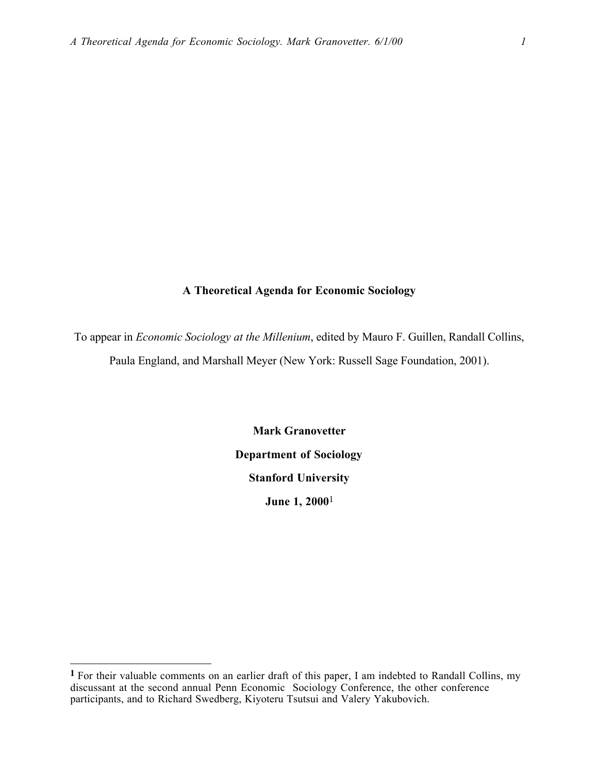# **A Theoretical Agenda for Economic Sociology**

To appear in *Economic Sociology at the Millenium*, edited by Mauro F. Guillen, Randall Collins, Paula England, and Marshall Meyer (New York: Russell Sage Foundation, 2001).

> **Mark Granovetter Department of Sociology Stanford University June 1, 2000**<sup>1</sup>

**<sup>1</sup>** For their valuable comments on an earlier draft of this paper, I am indebted to Randall Collins, my discussant at the second annual Penn Economic Sociology Conference, the other conference participants, and to Richard Swedberg, Kiyoteru Tsutsui and Valery Yakubovich.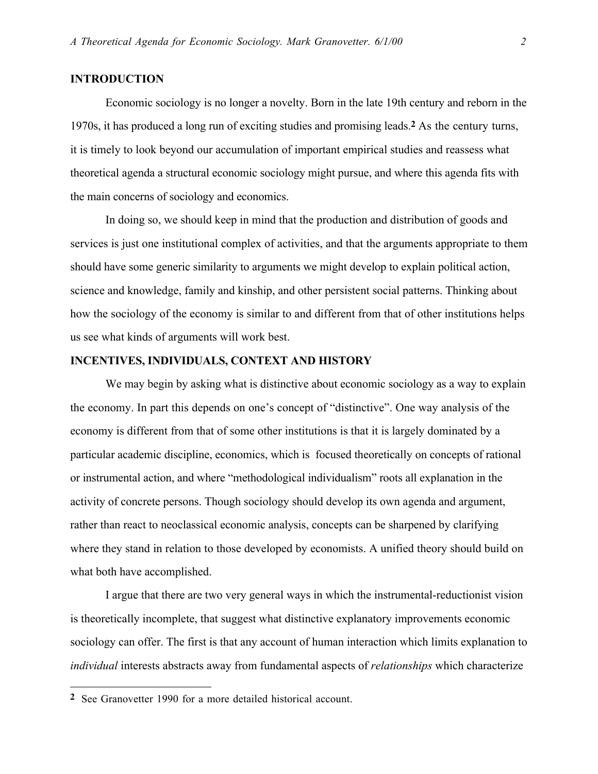### **INTRODUCTION**

Economic sociology is no longer a novelty. Born in the late 19th century and reborn in the 1970s, it has produced a long run of exciting studies and promising leads.**<sup>2</sup>** As the century turns, it is timely to look beyond our accumulation of important empirical studies and reassess what theoretical agenda a structural economic sociology might pursue, and where this agenda fits with the main concerns of sociology and economics.

In doing so, we should keep in mind that the production and distribution of goods and services is just one institutional complex of activities, and that the arguments appropriate to them should have some generic similarity to arguments we might develop to explain political action, science and knowledge, family and kinship, and other persistent social patterns. Thinking about how the sociology of the economy is similar to and different from that of other institutions helps us see what kinds of arguments will work best.

# **INCENTIVES, INDIVIDUALS, CONTEXT AND HISTORY**

We may begin by asking what is distinctive about economic sociology as a way to explain the economy. In part this depends on one's concept of "distinctive". One way analysis of the economy is different from that of some other institutions is that it is largely dominated by a particular academic discipline, economics, which is focused theoretically on concepts of rational or instrumental action, and where "methodological individualism" roots all explanation in the activity of concrete persons. Though sociology should develop its own agenda and argument, rather than react to neoclassical economic analysis, concepts can be sharpened by clarifying where they stand in relation to those developed by economists. A unified theory should build on what both have accomplished.

I argue that there are two very general ways in which the instrumental-reductionist vision is theoretically incomplete, that suggest what distinctive explanatory improvements economic sociology can offer. The first is that any account of human interaction which limits explanation to *individual* interests abstracts away from fundamental aspects of *relationships* which characterize

**<sup>2</sup>** See Granovetter 1990 for a more detailed historical account.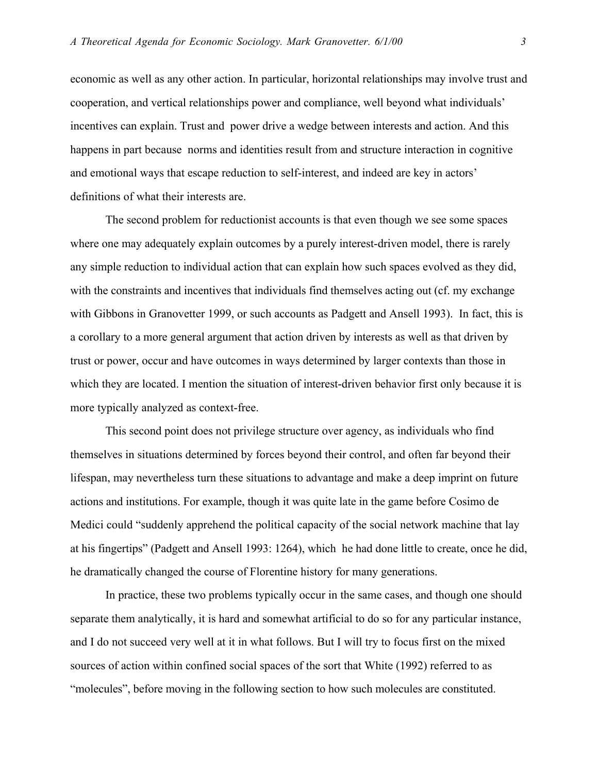economic as well as any other action. In particular, horizontal relationships may involve trust and cooperation, and vertical relationships power and compliance, well beyond what individuals' incentives can explain. Trust and power drive a wedge between interests and action. And this happens in part because norms and identities result from and structure interaction in cognitive and emotional ways that escape reduction to self-interest, and indeed are key in actors' definitions of what their interests are.

The second problem for reductionist accounts is that even though we see some spaces where one may adequately explain outcomes by a purely interest-driven model, there is rarely any simple reduction to individual action that can explain how such spaces evolved as they did, with the constraints and incentives that individuals find themselves acting out (cf. my exchange with Gibbons in Granovetter 1999, or such accounts as Padgett and Ansell 1993). In fact, this is a corollary to a more general argument that action driven by interests as well as that driven by trust or power, occur and have outcomes in ways determined by larger contexts than those in which they are located. I mention the situation of interest-driven behavior first only because it is more typically analyzed as context-free.

This second point does not privilege structure over agency, as individuals who find themselves in situations determined by forces beyond their control, and often far beyond their lifespan, may nevertheless turn these situations to advantage and make a deep imprint on future actions and institutions. For example, though it was quite late in the game before Cosimo de Medici could "suddenly apprehend the political capacity of the social network machine that lay at his fingertips" (Padgett and Ansell 1993: 1264), which he had done little to create, once he did, he dramatically changed the course of Florentine history for many generations.

In practice, these two problems typically occur in the same cases, and though one should separate them analytically, it is hard and somewhat artificial to do so for any particular instance, and I do not succeed very well at it in what follows. But I will try to focus first on the mixed sources of action within confined social spaces of the sort that White (1992) referred to as "molecules", before moving in the following section to how such molecules are constituted.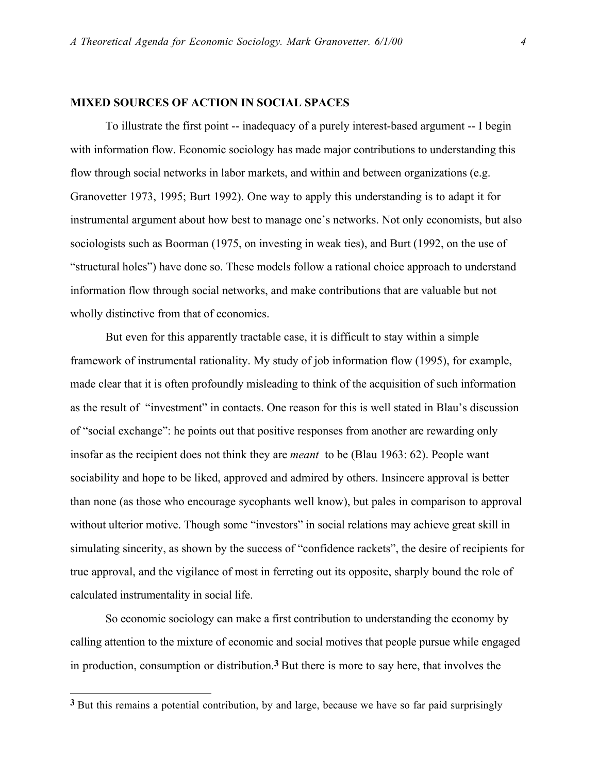## **MIXED SOURCES OF ACTION IN SOCIAL SPACES**

To illustrate the first point -- inadequacy of a purely interest-based argument -- I begin with information flow. Economic sociology has made major contributions to understanding this flow through social networks in labor markets, and within and between organizations (e.g. Granovetter 1973, 1995; Burt 1992). One way to apply this understanding is to adapt it for instrumental argument about how best to manage one's networks. Not only economists, but also sociologists such as Boorman (1975, on investing in weak ties), and Burt (1992, on the use of "structural holes") have done so. These models follow a rational choice approach to understand information flow through social networks, and make contributions that are valuable but not wholly distinctive from that of economics.

But even for this apparently tractable case, it is difficult to stay within a simple framework of instrumental rationality. My study of job information flow (1995), for example, made clear that it is often profoundly misleading to think of the acquisition of such information as the result of "investment" in contacts. One reason for this is well stated in Blau's discussion of "social exchange": he points out that positive responses from another are rewarding only insofar as the recipient does not think they are *meant* to be (Blau 1963: 62). People want sociability and hope to be liked, approved and admired by others. Insincere approval is better than none (as those who encourage sycophants well know), but pales in comparison to approval without ulterior motive. Though some "investors" in social relations may achieve great skill in simulating sincerity, as shown by the success of "confidence rackets", the desire of recipients for true approval, and the vigilance of most in ferreting out its opposite, sharply bound the role of calculated instrumentality in social life.

So economic sociology can make a first contribution to understanding the economy by calling attention to the mixture of economic and social motives that people pursue while engaged in production, consumption or distribution.**<sup>3</sup>** But there is more to say here, that involves the

**<sup>3</sup>** But this remains a potential contribution, by and large, because we have so far paid surprisingly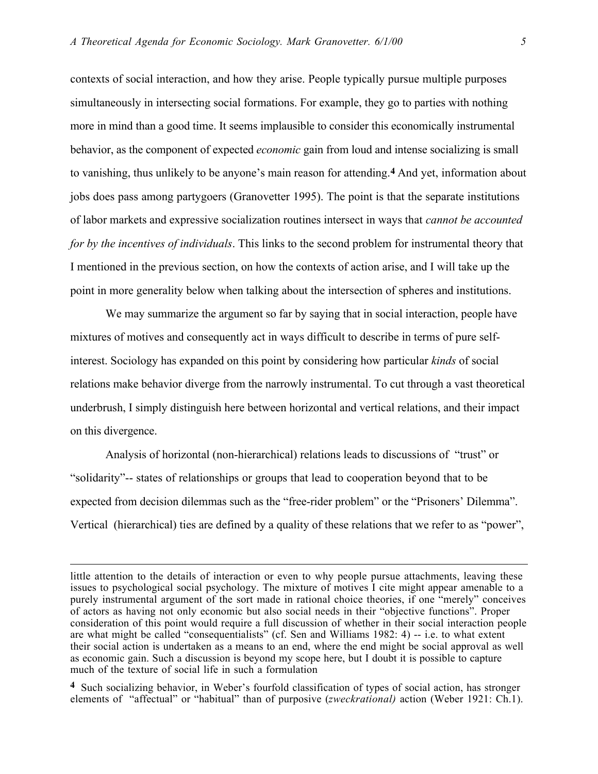contexts of social interaction, and how they arise. People typically pursue multiple purposes simultaneously in intersecting social formations. For example, they go to parties with nothing more in mind than a good time. It seems implausible to consider this economically instrumental behavior, as the component of expected *economic* gain from loud and intense socializing is small to vanishing, thus unlikely to be anyone's main reason for attending.**<sup>4</sup>** And yet, information about jobs does pass among partygoers (Granovetter 1995). The point is that the separate institutions of labor markets and expressive socialization routines intersect in ways that *cannot be accounted for by the incentives of individuals*. This links to the second problem for instrumental theory that I mentioned in the previous section, on how the contexts of action arise, and I will take up the point in more generality below when talking about the intersection of spheres and institutions.

We may summarize the argument so far by saying that in social interaction, people have mixtures of motives and consequently act in ways difficult to describe in terms of pure selfinterest. Sociology has expanded on this point by considering how particular *kinds* of social relations make behavior diverge from the narrowly instrumental. To cut through a vast theoretical underbrush, I simply distinguish here between horizontal and vertical relations, and their impact on this divergence.

Analysis of horizontal (non-hierarchical) relations leads to discussions of "trust" or "solidarity"-- states of relationships or groups that lead to cooperation beyond that to be expected from decision dilemmas such as the "free-rider problem" or the "Prisoners' Dilemma". Vertical (hierarchical) ties are defined by a quality of these relations that we refer to as "power",

little attention to the details of interaction or even to why people pursue attachments, leaving these issues to psychological social psychology. The mixture of motives I cite might appear amenable to a purely instrumental argument of the sort made in rational choice theories, if one "merely" conceives of actors as having not only economic but also social needs in their "objective functions". Proper consideration of this point would require a full discussion of whether in their social interaction people are what might be called "consequentialists" (cf. Sen and Williams 1982: 4) -- i.e. to what extent their social action is undertaken as a means to an end, where the end might be social approval as well as economic gain. Such a discussion is beyond my scope here, but I doubt it is possible to capture much of the texture of social life in such a formulation

**<sup>4</sup>** Such socializing behavior, in Weber's fourfold classification of types of social action, has stronger elements of "affectual" or "habitual" than of purposive (*zweckrational)* action (Weber 1921: Ch.1).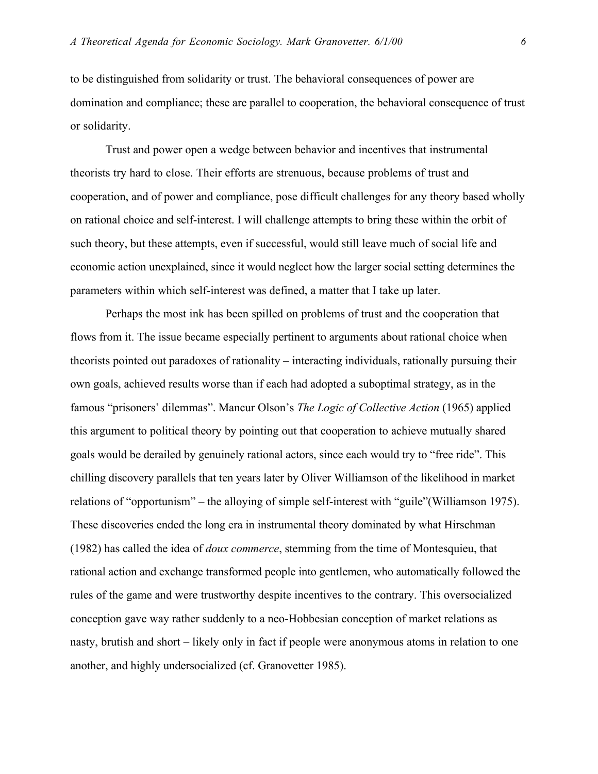to be distinguished from solidarity or trust. The behavioral consequences of power are domination and compliance; these are parallel to cooperation, the behavioral consequence of trust or solidarity.

Trust and power open a wedge between behavior and incentives that instrumental theorists try hard to close. Their efforts are strenuous, because problems of trust and cooperation, and of power and compliance, pose difficult challenges for any theory based wholly on rational choice and self-interest. I will challenge attempts to bring these within the orbit of such theory, but these attempts, even if successful, would still leave much of social life and economic action unexplained, since it would neglect how the larger social setting determines the parameters within which self-interest was defined, a matter that I take up later.

Perhaps the most ink has been spilled on problems of trust and the cooperation that flows from it. The issue became especially pertinent to arguments about rational choice when theorists pointed out paradoxes of rationality – interacting individuals, rationally pursuing their own goals, achieved results worse than if each had adopted a suboptimal strategy, as in the famous "prisoners' dilemmas". Mancur Olson's *The Logic of Collective Action* (1965) applied this argument to political theory by pointing out that cooperation to achieve mutually shared goals would be derailed by genuinely rational actors, since each would try to "free ride". This chilling discovery parallels that ten years later by Oliver Williamson of the likelihood in market relations of "opportunism" – the alloying of simple self-interest with "guile"(Williamson 1975). These discoveries ended the long era in instrumental theory dominated by what Hirschman (1982) has called the idea of *doux commerce*, stemming from the time of Montesquieu, that rational action and exchange transformed people into gentlemen, who automatically followed the rules of the game and were trustworthy despite incentives to the contrary. This oversocialized conception gave way rather suddenly to a neo-Hobbesian conception of market relations as nasty, brutish and short – likely only in fact if people were anonymous atoms in relation to one another, and highly undersocialized (cf. Granovetter 1985).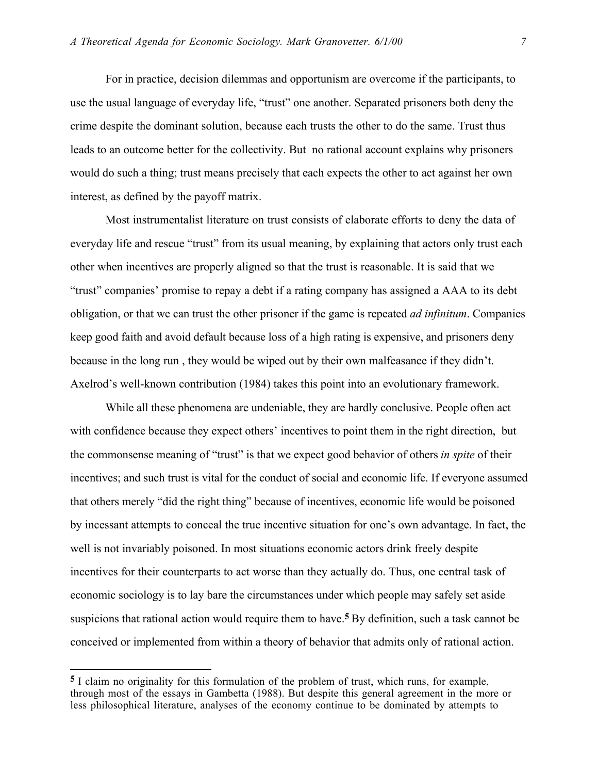For in practice, decision dilemmas and opportunism are overcome if the participants, to use the usual language of everyday life, "trust" one another. Separated prisoners both deny the crime despite the dominant solution, because each trusts the other to do the same. Trust thus leads to an outcome better for the collectivity. But no rational account explains why prisoners would do such a thing; trust means precisely that each expects the other to act against her own interest, as defined by the payoff matrix.

Most instrumentalist literature on trust consists of elaborate efforts to deny the data of everyday life and rescue "trust" from its usual meaning, by explaining that actors only trust each other when incentives are properly aligned so that the trust is reasonable. It is said that we "trust" companies' promise to repay a debt if a rating company has assigned a AAA to its debt obligation, or that we can trust the other prisoner if the game is repeated *ad infinitum*. Companies keep good faith and avoid default because loss of a high rating is expensive, and prisoners deny because in the long run , they would be wiped out by their own malfeasance if they didn't. Axelrod's well-known contribution (1984) takes this point into an evolutionary framework.

While all these phenomena are undeniable, they are hardly conclusive. People often act with confidence because they expect others' incentives to point them in the right direction, but the commonsense meaning of "trust" is that we expect good behavior of others *in spite* of their incentives; and such trust is vital for the conduct of social and economic life. If everyone assumed that others merely "did the right thing" because of incentives, economic life would be poisoned by incessant attempts to conceal the true incentive situation for one's own advantage. In fact, the well is not invariably poisoned. In most situations economic actors drink freely despite incentives for their counterparts to act worse than they actually do. Thus, one central task of economic sociology is to lay bare the circumstances under which people may safely set aside suspicions that rational action would require them to have.**<sup>5</sup>** By definition, such a task cannot be conceived or implemented from within a theory of behavior that admits only of rational action.

**<sup>5</sup>** I claim no originality for this formulation of the problem of trust, which runs, for example, through most of the essays in Gambetta (1988). But despite this general agreement in the more or less philosophical literature, analyses of the economy continue to be dominated by attempts to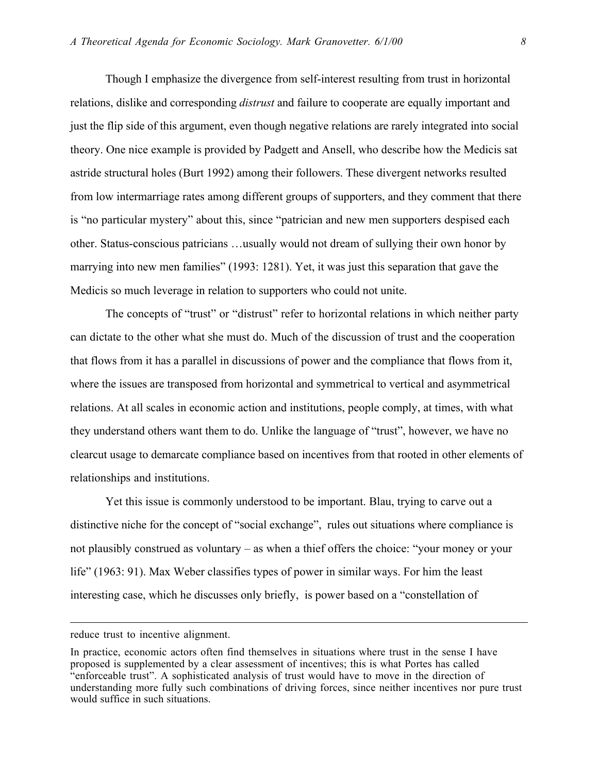Though I emphasize the divergence from self-interest resulting from trust in horizontal relations, dislike and corresponding *distrust* and failure to cooperate are equally important and just the flip side of this argument, even though negative relations are rarely integrated into social theory. One nice example is provided by Padgett and Ansell, who describe how the Medicis sat astride structural holes (Burt 1992) among their followers. These divergent networks resulted from low intermarriage rates among different groups of supporters, and they comment that there is "no particular mystery" about this, since "patrician and new men supporters despised each other. Status-conscious patricians …usually would not dream of sullying their own honor by marrying into new men families" (1993: 1281). Yet, it was just this separation that gave the Medicis so much leverage in relation to supporters who could not unite.

The concepts of "trust" or "distrust" refer to horizontal relations in which neither party can dictate to the other what she must do. Much of the discussion of trust and the cooperation that flows from it has a parallel in discussions of power and the compliance that flows from it, where the issues are transposed from horizontal and symmetrical to vertical and asymmetrical relations. At all scales in economic action and institutions, people comply, at times, with what they understand others want them to do. Unlike the language of "trust", however, we have no clearcut usage to demarcate compliance based on incentives from that rooted in other elements of relationships and institutions.

Yet this issue is commonly understood to be important. Blau, trying to carve out a distinctive niche for the concept of "social exchange", rules out situations where compliance is not plausibly construed as voluntary – as when a thief offers the choice: "your money or your life" (1963: 91). Max Weber classifies types of power in similar ways. For him the least interesting case, which he discusses only briefly, is power based on a "constellation of

reduce trust to incentive alignment.

In practice, economic actors often find themselves in situations where trust in the sense I have proposed is supplemented by a clear assessment of incentives; this is what Portes has called "enforceable trust". A sophisticated analysis of trust would have to move in the direction of understanding more fully such combinations of driving forces, since neither incentives nor pure trust would suffice in such situations.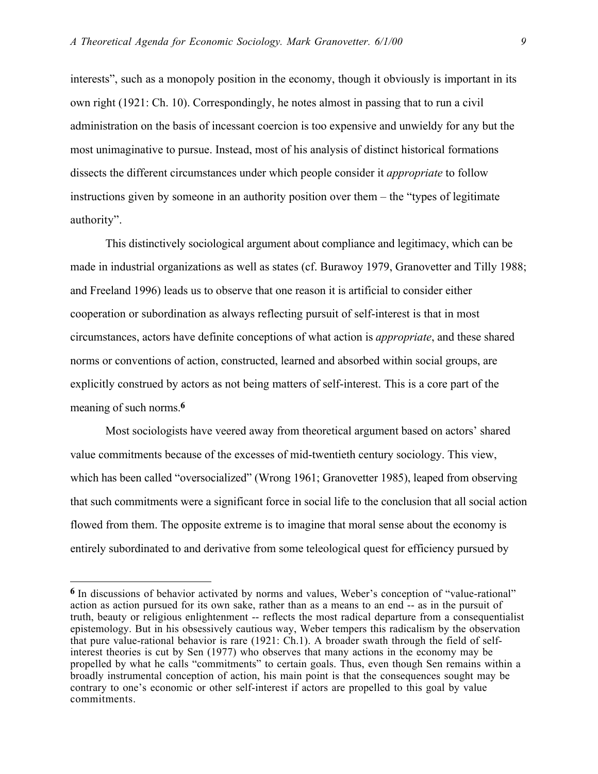interests", such as a monopoly position in the economy, though it obviously is important in its own right (1921: Ch. 10). Correspondingly, he notes almost in passing that to run a civil administration on the basis of incessant coercion is too expensive and unwieldy for any but the most unimaginative to pursue. Instead, most of his analysis of distinct historical formations dissects the different circumstances under which people consider it *appropriate* to follow instructions given by someone in an authority position over them – the "types of legitimate authority".

This distinctively sociological argument about compliance and legitimacy, which can be made in industrial organizations as well as states (cf. Burawoy 1979, Granovetter and Tilly 1988; and Freeland 1996) leads us to observe that one reason it is artificial to consider either cooperation or subordination as always reflecting pursuit of self-interest is that in most circumstances, actors have definite conceptions of what action is *appropriate*, and these shared norms or conventions of action, constructed, learned and absorbed within social groups, are explicitly construed by actors as not being matters of self-interest. This is a core part of the meaning of such norms.**<sup>6</sup>**

Most sociologists have veered away from theoretical argument based on actors' shared value commitments because of the excesses of mid-twentieth century sociology. This view, which has been called "oversocialized" (Wrong 1961; Granovetter 1985), leaped from observing that such commitments were a significant force in social life to the conclusion that all social action flowed from them. The opposite extreme is to imagine that moral sense about the economy is entirely subordinated to and derivative from some teleological quest for efficiency pursued by

**<sup>6</sup>** In discussions of behavior activated by norms and values, Weber's conception of "value-rational" action as action pursued for its own sake, rather than as a means to an end -- as in the pursuit of truth, beauty or religious enlightenment -- reflects the most radical departure from a consequentialist epistemology. But in his obsessively cautious way, Weber tempers this radicalism by the observation that pure value-rational behavior is rare (1921: Ch.1). A broader swath through the field of selfinterest theories is cut by Sen (1977) who observes that many actions in the economy may be propelled by what he calls "commitments" to certain goals. Thus, even though Sen remains within a broadly instrumental conception of action, his main point is that the consequences sought may be contrary to one's economic or other self-interest if actors are propelled to this goal by value commitments.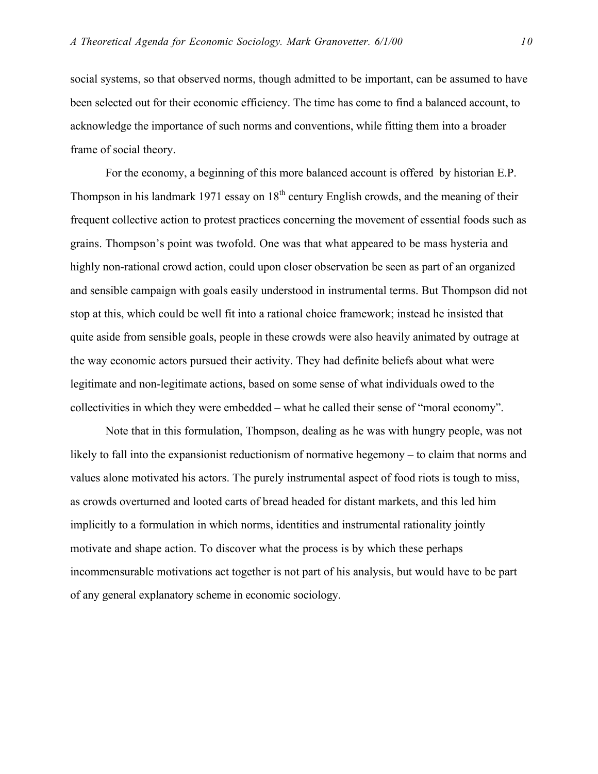social systems, so that observed norms, though admitted to be important, can be assumed to have been selected out for their economic efficiency. The time has come to find a balanced account, to acknowledge the importance of such norms and conventions, while fitting them into a broader frame of social theory.

For the economy, a beginning of this more balanced account is offered by historian E.P. Thompson in his landmark 1971 essay on  $18<sup>th</sup>$  century English crowds, and the meaning of their frequent collective action to protest practices concerning the movement of essential foods such as grains. Thompson's point was twofold. One was that what appeared to be mass hysteria and highly non-rational crowd action, could upon closer observation be seen as part of an organized and sensible campaign with goals easily understood in instrumental terms. But Thompson did not stop at this, which could be well fit into a rational choice framework; instead he insisted that quite aside from sensible goals, people in these crowds were also heavily animated by outrage at the way economic actors pursued their activity. They had definite beliefs about what were legitimate and non-legitimate actions, based on some sense of what individuals owed to the collectivities in which they were embedded – what he called their sense of "moral economy".

Note that in this formulation, Thompson, dealing as he was with hungry people, was not likely to fall into the expansionist reductionism of normative hegemony – to claim that norms and values alone motivated his actors. The purely instrumental aspect of food riots is tough to miss, as crowds overturned and looted carts of bread headed for distant markets, and this led him implicitly to a formulation in which norms, identities and instrumental rationality jointly motivate and shape action. To discover what the process is by which these perhaps incommensurable motivations act together is not part of his analysis, but would have to be part of any general explanatory scheme in economic sociology.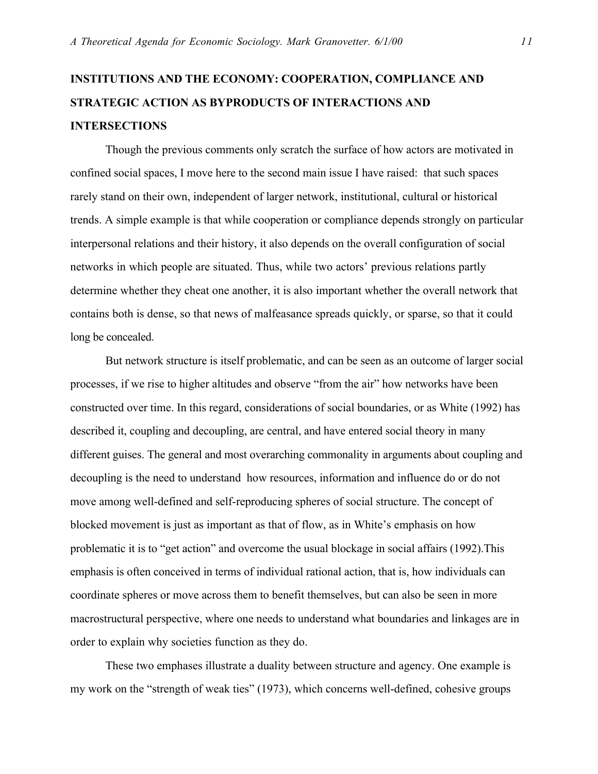# **INSTITUTIONS AND THE ECONOMY: COOPERATION, COMPLIANCE AND STRATEGIC ACTION AS BYPRODUCTS OF INTERACTIONS AND INTERSECTIONS**

Though the previous comments only scratch the surface of how actors are motivated in confined social spaces, I move here to the second main issue I have raised: that such spaces rarely stand on their own, independent of larger network, institutional, cultural or historical trends. A simple example is that while cooperation or compliance depends strongly on particular interpersonal relations and their history, it also depends on the overall configuration of social networks in which people are situated. Thus, while two actors' previous relations partly determine whether they cheat one another, it is also important whether the overall network that contains both is dense, so that news of malfeasance spreads quickly, or sparse, so that it could long be concealed.

But network structure is itself problematic, and can be seen as an outcome of larger social processes, if we rise to higher altitudes and observe "from the air" how networks have been constructed over time. In this regard, considerations of social boundaries, or as White (1992) has described it, coupling and decoupling, are central, and have entered social theory in many different guises. The general and most overarching commonality in arguments about coupling and decoupling is the need to understand how resources, information and influence do or do not move among well-defined and self-reproducing spheres of social structure. The concept of blocked movement is just as important as that of flow, as in White's emphasis on how problematic it is to "get action" and overcome the usual blockage in social affairs (1992).This emphasis is often conceived in terms of individual rational action, that is, how individuals can coordinate spheres or move across them to benefit themselves, but can also be seen in more macrostructural perspective, where one needs to understand what boundaries and linkages are in order to explain why societies function as they do.

These two emphases illustrate a duality between structure and agency. One example is my work on the "strength of weak ties" (1973), which concerns well-defined, cohesive groups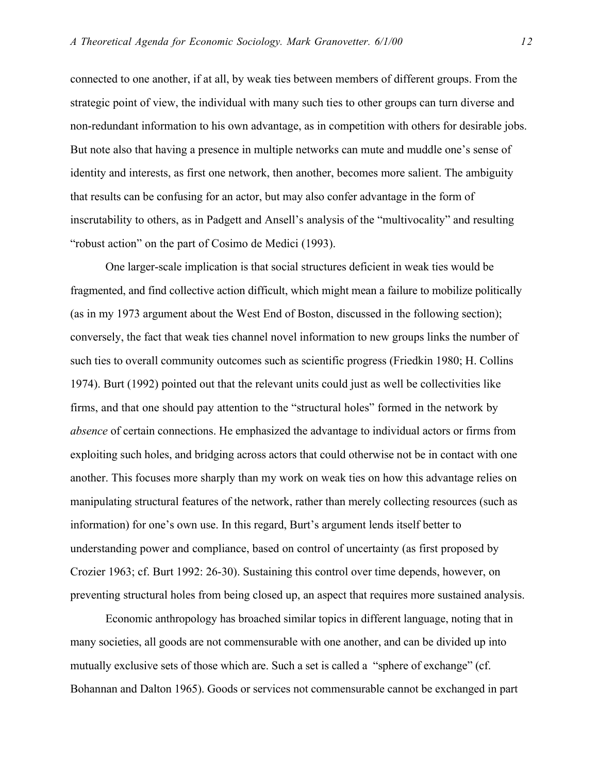connected to one another, if at all, by weak ties between members of different groups. From the strategic point of view, the individual with many such ties to other groups can turn diverse and non-redundant information to his own advantage, as in competition with others for desirable jobs. But note also that having a presence in multiple networks can mute and muddle one's sense of identity and interests, as first one network, then another, becomes more salient. The ambiguity that results can be confusing for an actor, but may also confer advantage in the form of inscrutability to others, as in Padgett and Ansell's analysis of the "multivocality" and resulting "robust action" on the part of Cosimo de Medici (1993).

One larger-scale implication is that social structures deficient in weak ties would be fragmented, and find collective action difficult, which might mean a failure to mobilize politically (as in my 1973 argument about the West End of Boston, discussed in the following section); conversely, the fact that weak ties channel novel information to new groups links the number of such ties to overall community outcomes such as scientific progress (Friedkin 1980; H. Collins 1974). Burt (1992) pointed out that the relevant units could just as well be collectivities like firms, and that one should pay attention to the "structural holes" formed in the network by *absence* of certain connections. He emphasized the advantage to individual actors or firms from exploiting such holes, and bridging across actors that could otherwise not be in contact with one another. This focuses more sharply than my work on weak ties on how this advantage relies on manipulating structural features of the network, rather than merely collecting resources (such as information) for one's own use. In this regard, Burt's argument lends itself better to understanding power and compliance, based on control of uncertainty (as first proposed by Crozier 1963; cf. Burt 1992: 26-30). Sustaining this control over time depends, however, on preventing structural holes from being closed up, an aspect that requires more sustained analysis.

Economic anthropology has broached similar topics in different language, noting that in many societies, all goods are not commensurable with one another, and can be divided up into mutually exclusive sets of those which are. Such a set is called a "sphere of exchange" (cf. Bohannan and Dalton 1965). Goods or services not commensurable cannot be exchanged in part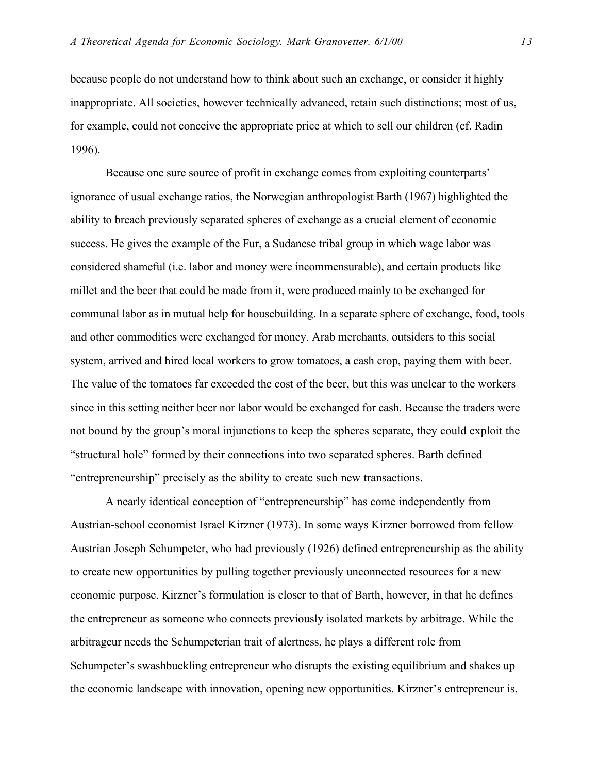because people do not understand how to think about such an exchange, or consider it highly inappropriate. All societies, however technically advanced, retain such distinctions; most of us, for example, could not conceive the appropriate price at which to sell our children (cf. Radin 1996).

Because one sure source of profit in exchange comes from exploiting counterparts' ignorance of usual exchange ratios, the Norwegian anthropologist Barth (1967) highlighted the ability to breach previously separated spheres of exchange as a crucial element of economic success. He gives the example of the Fur, a Sudanese tribal group in which wage labor was considered shameful (i.e. labor and money were incommensurable), and certain products like millet and the beer that could be made from it, were produced mainly to be exchanged for communal labor as in mutual help for housebuilding. In a separate sphere of exchange, food, tools and other commodities were exchanged for money. Arab merchants, outsiders to this social system, arrived and hired local workers to grow tomatoes, a cash crop, paying them with beer. The value of the tomatoes far exceeded the cost of the beer, but this was unclear to the workers since in this setting neither beer nor labor would be exchanged for cash. Because the traders were not bound by the group's moral injunctions to keep the spheres separate, they could exploit the "structural hole" formed by their connections into two separated spheres. Barth defined "entrepreneurship" precisely as the ability to create such new transactions.

A nearly identical conception of "entrepreneurship" has come independently from Austrian-school economist Israel Kirzner (1973). In some ways Kirzner borrowed from fellow Austrian Joseph Schumpeter, who had previously (1926) defined entrepreneurship as the ability to create new opportunities by pulling together previously unconnected resources for a new economic purpose. Kirzner's formulation is closer to that of Barth, however, in that he defines the entrepreneur as someone who connects previously isolated markets by arbitrage. While the arbitrageur needs the Schumpeterian trait of alertness, he plays a different role from Schumpeter's swashbuckling entrepreneur who disrupts the existing equilibrium and shakes up the economic landscape with innovation, opening new opportunities. Kirzner's entrepreneur is,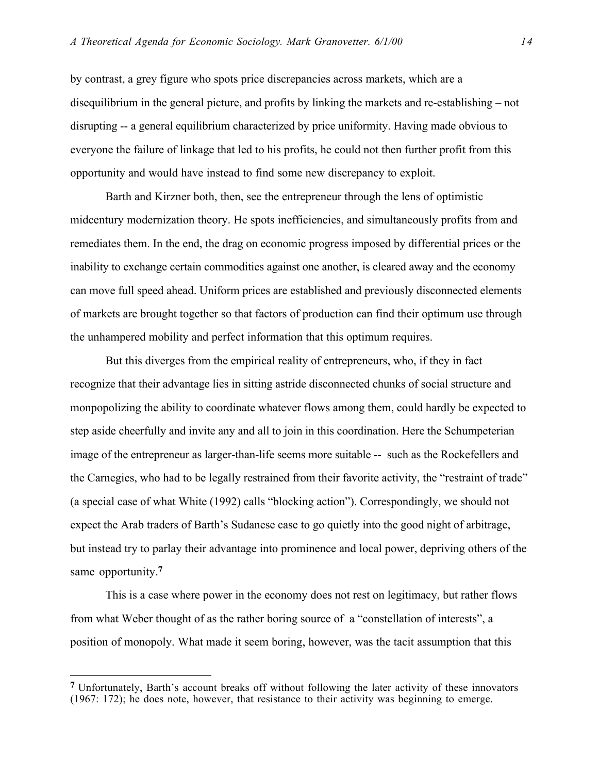by contrast, a grey figure who spots price discrepancies across markets, which are a disequilibrium in the general picture, and profits by linking the markets and re-establishing – not disrupting -- a general equilibrium characterized by price uniformity. Having made obvious to everyone the failure of linkage that led to his profits, he could not then further profit from this opportunity and would have instead to find some new discrepancy to exploit.

Barth and Kirzner both, then, see the entrepreneur through the lens of optimistic midcentury modernization theory. He spots inefficiencies, and simultaneously profits from and remediates them. In the end, the drag on economic progress imposed by differential prices or the inability to exchange certain commodities against one another, is cleared away and the economy can move full speed ahead. Uniform prices are established and previously disconnected elements of markets are brought together so that factors of production can find their optimum use through the unhampered mobility and perfect information that this optimum requires.

But this diverges from the empirical reality of entrepreneurs, who, if they in fact recognize that their advantage lies in sitting astride disconnected chunks of social structure and monpopolizing the ability to coordinate whatever flows among them, could hardly be expected to step aside cheerfully and invite any and all to join in this coordination. Here the Schumpeterian image of the entrepreneur as larger-than-life seems more suitable -- such as the Rockefellers and the Carnegies, who had to be legally restrained from their favorite activity, the "restraint of trade" (a special case of what White (1992) calls "blocking action"). Correspondingly, we should not expect the Arab traders of Barth's Sudanese case to go quietly into the good night of arbitrage, but instead try to parlay their advantage into prominence and local power, depriving others of the same opportunity.**<sup>7</sup>**

This is a case where power in the economy does not rest on legitimacy, but rather flows from what Weber thought of as the rather boring source of a "constellation of interests", a position of monopoly. What made it seem boring, however, was the tacit assumption that this

**<sup>7</sup>** Unfortunately, Barth's account breaks off without following the later activity of these innovators (1967: 172); he does note, however, that resistance to their activity was beginning to emerge.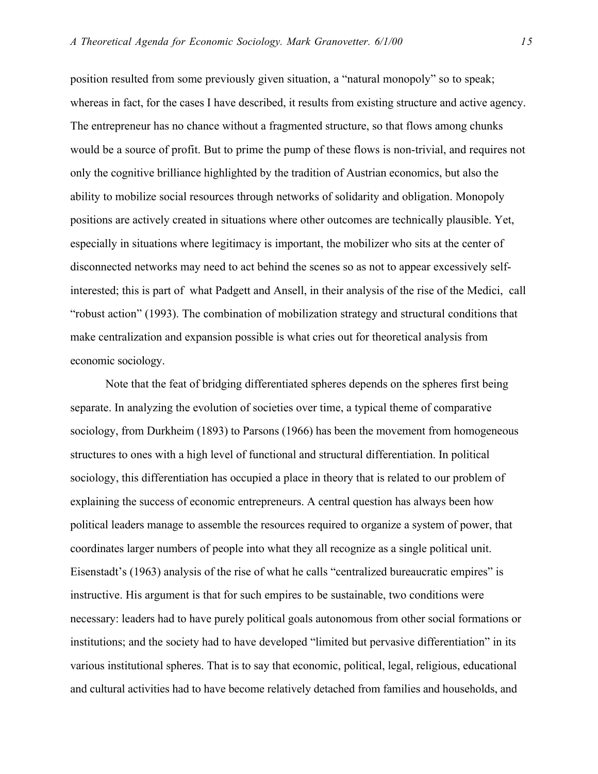position resulted from some previously given situation, a "natural monopoly" so to speak; whereas in fact, for the cases I have described, it results from existing structure and active agency. The entrepreneur has no chance without a fragmented structure, so that flows among chunks would be a source of profit. But to prime the pump of these flows is non-trivial, and requires not only the cognitive brilliance highlighted by the tradition of Austrian economics, but also the ability to mobilize social resources through networks of solidarity and obligation. Monopoly positions are actively created in situations where other outcomes are technically plausible. Yet, especially in situations where legitimacy is important, the mobilizer who sits at the center of disconnected networks may need to act behind the scenes so as not to appear excessively selfinterested; this is part of what Padgett and Ansell, in their analysis of the rise of the Medici, call "robust action" (1993). The combination of mobilization strategy and structural conditions that make centralization and expansion possible is what cries out for theoretical analysis from economic sociology.

Note that the feat of bridging differentiated spheres depends on the spheres first being separate. In analyzing the evolution of societies over time, a typical theme of comparative sociology, from Durkheim (1893) to Parsons (1966) has been the movement from homogeneous structures to ones with a high level of functional and structural differentiation. In political sociology, this differentiation has occupied a place in theory that is related to our problem of explaining the success of economic entrepreneurs. A central question has always been how political leaders manage to assemble the resources required to organize a system of power, that coordinates larger numbers of people into what they all recognize as a single political unit. Eisenstadt's (1963) analysis of the rise of what he calls "centralized bureaucratic empires" is instructive. His argument is that for such empires to be sustainable, two conditions were necessary: leaders had to have purely political goals autonomous from other social formations or institutions; and the society had to have developed "limited but pervasive differentiation" in its various institutional spheres. That is to say that economic, political, legal, religious, educational and cultural activities had to have become relatively detached from families and households, and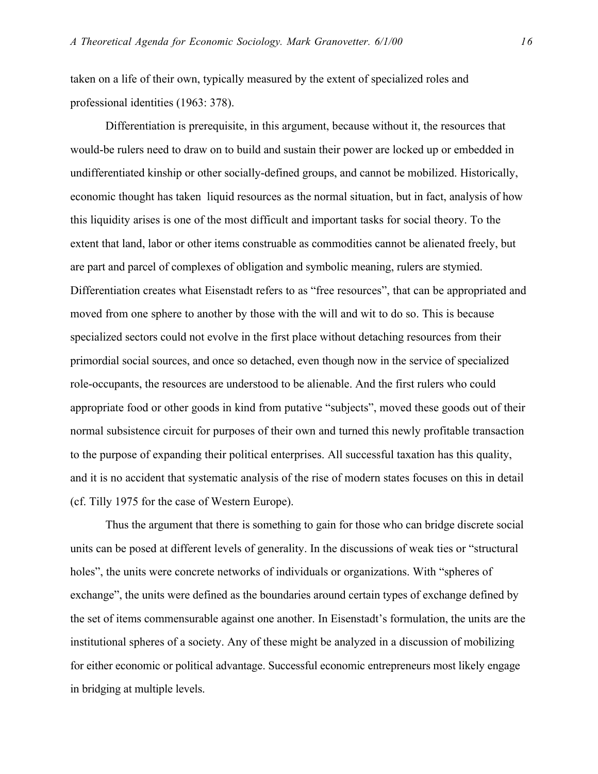taken on a life of their own, typically measured by the extent of specialized roles and professional identities (1963: 378).

Differentiation is prerequisite, in this argument, because without it, the resources that would-be rulers need to draw on to build and sustain their power are locked up or embedded in undifferentiated kinship or other socially-defined groups, and cannot be mobilized. Historically, economic thought has taken liquid resources as the normal situation, but in fact, analysis of how this liquidity arises is one of the most difficult and important tasks for social theory. To the extent that land, labor or other items construable as commodities cannot be alienated freely, but are part and parcel of complexes of obligation and symbolic meaning, rulers are stymied. Differentiation creates what Eisenstadt refers to as "free resources", that can be appropriated and moved from one sphere to another by those with the will and wit to do so. This is because specialized sectors could not evolve in the first place without detaching resources from their primordial social sources, and once so detached, even though now in the service of specialized role-occupants, the resources are understood to be alienable. And the first rulers who could appropriate food or other goods in kind from putative "subjects", moved these goods out of their normal subsistence circuit for purposes of their own and turned this newly profitable transaction to the purpose of expanding their political enterprises. All successful taxation has this quality, and it is no accident that systematic analysis of the rise of modern states focuses on this in detail (cf. Tilly 1975 for the case of Western Europe).

Thus the argument that there is something to gain for those who can bridge discrete social units can be posed at different levels of generality. In the discussions of weak ties or "structural holes", the units were concrete networks of individuals or organizations. With "spheres of exchange", the units were defined as the boundaries around certain types of exchange defined by the set of items commensurable against one another. In Eisenstadt's formulation, the units are the institutional spheres of a society. Any of these might be analyzed in a discussion of mobilizing for either economic or political advantage. Successful economic entrepreneurs most likely engage in bridging at multiple levels.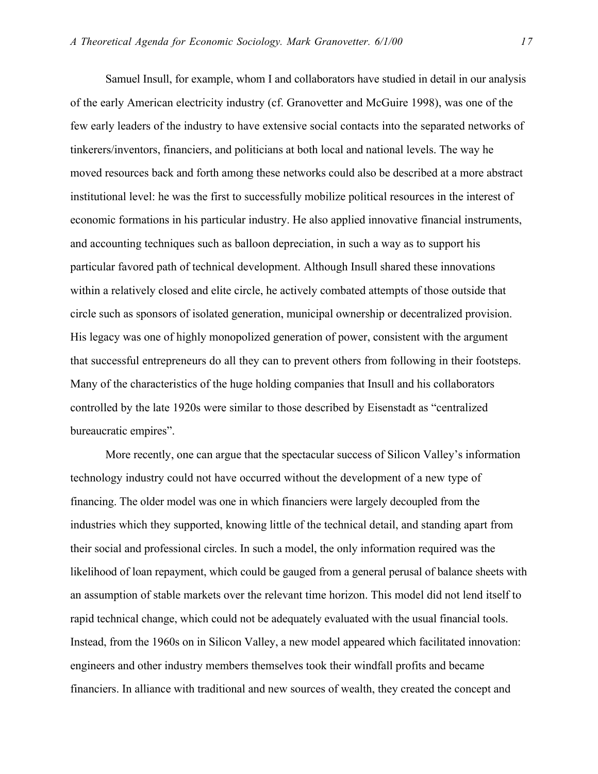Samuel Insull, for example, whom I and collaborators have studied in detail in our analysis of the early American electricity industry (cf. Granovetter and McGuire 1998), was one of the few early leaders of the industry to have extensive social contacts into the separated networks of tinkerers/inventors, financiers, and politicians at both local and national levels. The way he moved resources back and forth among these networks could also be described at a more abstract institutional level: he was the first to successfully mobilize political resources in the interest of economic formations in his particular industry. He also applied innovative financial instruments, and accounting techniques such as balloon depreciation, in such a way as to support his particular favored path of technical development. Although Insull shared these innovations within a relatively closed and elite circle, he actively combated attempts of those outside that circle such as sponsors of isolated generation, municipal ownership or decentralized provision. His legacy was one of highly monopolized generation of power, consistent with the argument that successful entrepreneurs do all they can to prevent others from following in their footsteps. Many of the characteristics of the huge holding companies that Insull and his collaborators controlled by the late 1920s were similar to those described by Eisenstadt as "centralized bureaucratic empires".

More recently, one can argue that the spectacular success of Silicon Valley's information technology industry could not have occurred without the development of a new type of financing. The older model was one in which financiers were largely decoupled from the industries which they supported, knowing little of the technical detail, and standing apart from their social and professional circles. In such a model, the only information required was the likelihood of loan repayment, which could be gauged from a general perusal of balance sheets with an assumption of stable markets over the relevant time horizon. This model did not lend itself to rapid technical change, which could not be adequately evaluated with the usual financial tools. Instead, from the 1960s on in Silicon Valley, a new model appeared which facilitated innovation: engineers and other industry members themselves took their windfall profits and became financiers. In alliance with traditional and new sources of wealth, they created the concept and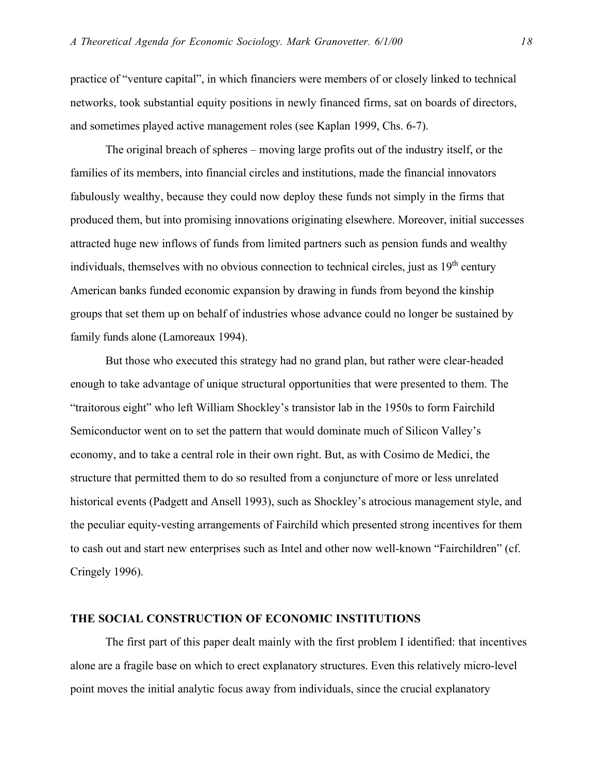practice of "venture capital", in which financiers were members of or closely linked to technical networks, took substantial equity positions in newly financed firms, sat on boards of directors, and sometimes played active management roles (see Kaplan 1999, Chs. 6-7).

The original breach of spheres – moving large profits out of the industry itself, or the families of its members, into financial circles and institutions, made the financial innovators fabulously wealthy, because they could now deploy these funds not simply in the firms that produced them, but into promising innovations originating elsewhere. Moreover, initial successes attracted huge new inflows of funds from limited partners such as pension funds and wealthy individuals, themselves with no obvious connection to technical circles, just as  $19<sup>th</sup>$  century American banks funded economic expansion by drawing in funds from beyond the kinship groups that set them up on behalf of industries whose advance could no longer be sustained by family funds alone (Lamoreaux 1994).

But those who executed this strategy had no grand plan, but rather were clear-headed enough to take advantage of unique structural opportunities that were presented to them. The "traitorous eight" who left William Shockley's transistor lab in the 1950s to form Fairchild Semiconductor went on to set the pattern that would dominate much of Silicon Valley's economy, and to take a central role in their own right. But, as with Cosimo de Medici, the structure that permitted them to do so resulted from a conjuncture of more or less unrelated historical events (Padgett and Ansell 1993), such as Shockley's atrocious management style, and the peculiar equity-vesting arrangements of Fairchild which presented strong incentives for them to cash out and start new enterprises such as Intel and other now well-known "Fairchildren" (cf. Cringely 1996).

### **THE SOCIAL CONSTRUCTION OF ECONOMIC INSTITUTIONS**

The first part of this paper dealt mainly with the first problem I identified: that incentives alone are a fragile base on which to erect explanatory structures. Even this relatively micro-level point moves the initial analytic focus away from individuals, since the crucial explanatory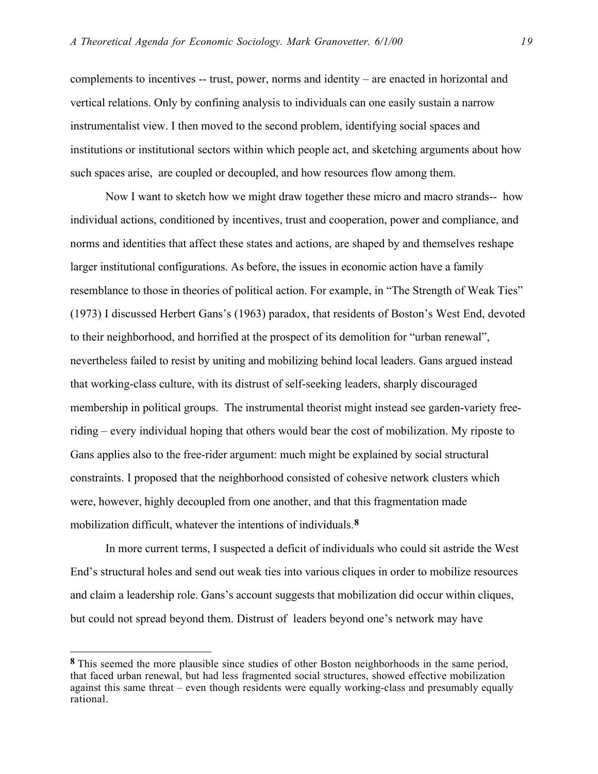complements to incentives -- trust, power, norms and identity – are enacted in horizontal and vertical relations. Only by confining analysis to individuals can one easily sustain a narrow instrumentalist view. I then moved to the second problem, identifying social spaces and institutions or institutional sectors within which people act, and sketching arguments about how such spaces arise, are coupled or decoupled, and how resources flow among them.

Now I want to sketch how we might draw together these micro and macro strands-- how individual actions, conditioned by incentives, trust and cooperation, power and compliance, and norms and identities that affect these states and actions, are shaped by and themselves reshape larger institutional configurations. As before, the issues in economic action have a family resemblance to those in theories of political action. For example, in "The Strength of Weak Ties" (1973) I discussed Herbert Gans's (1963) paradox, that residents of Boston's West End, devoted to their neighborhood, and horrified at the prospect of its demolition for "urban renewal", nevertheless failed to resist by uniting and mobilizing behind local leaders. Gans argued instead that working-class culture, with its distrust of self-seeking leaders, sharply discouraged membership in political groups. The instrumental theorist might instead see garden-variety freeriding – every individual hoping that others would bear the cost of mobilization. My riposte to Gans applies also to the free-rider argument: much might be explained by social structural constraints. I proposed that the neighborhood consisted of cohesive network clusters which were, however, highly decoupled from one another, and that this fragmentation made mobilization difficult, whatever the intentions of individuals.**<sup>8</sup>**

In more current terms, I suspected a deficit of individuals who could sit astride the West End's structural holes and send out weak ties into various cliques in order to mobilize resources and claim a leadership role. Gans's account suggests that mobilization did occur within cliques, but could not spread beyond them. Distrust of leaders beyond one's network may have

**<sup>8</sup>** This seemed the more plausible since studies of other Boston neighborhoods in the same period, that faced urban renewal, but had less fragmented social structures, showed effective mobilization against this same threat – even though residents were equally working-class and presumably equally rational.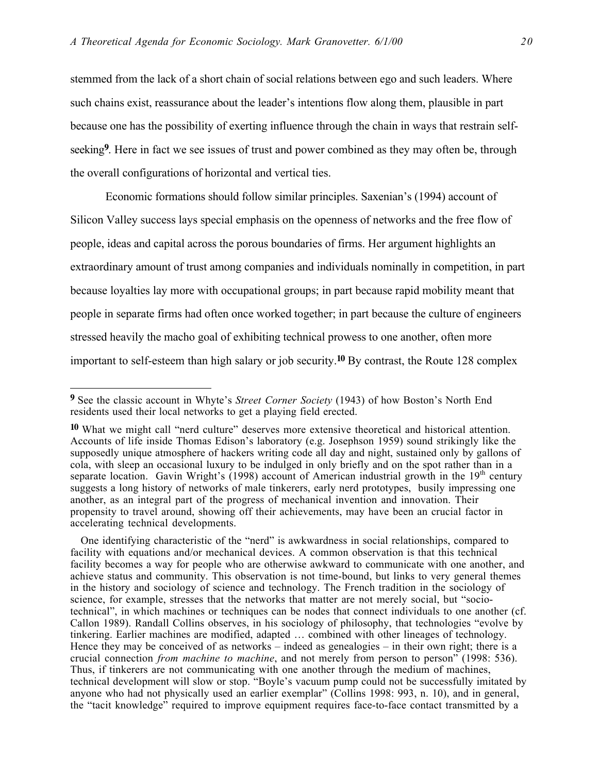stemmed from the lack of a short chain of social relations between ego and such leaders. Where such chains exist, reassurance about the leader's intentions flow along them, plausible in part because one has the possibility of exerting influence through the chain in ways that restrain selfseeking**<sup>9</sup>**. Here in fact we see issues of trust and power combined as they may often be, through the overall configurations of horizontal and vertical ties.

Economic formations should follow similar principles. Saxenian's (1994) account of Silicon Valley success lays special emphasis on the openness of networks and the free flow of people, ideas and capital across the porous boundaries of firms. Her argument highlights an extraordinary amount of trust among companies and individuals nominally in competition, in part because loyalties lay more with occupational groups; in part because rapid mobility meant that people in separate firms had often once worked together; in part because the culture of engineers stressed heavily the macho goal of exhibiting technical prowess to one another, often more important to self-esteem than high salary or job security.**<sup>10</sup>** By contrast, the Route 128 complex

 One identifying characteristic of the "nerd" is awkwardness in social relationships, compared to facility with equations and/or mechanical devices. A common observation is that this technical facility becomes a way for people who are otherwise awkward to communicate with one another, and achieve status and community. This observation is not time-bound, but links to very general themes in the history and sociology of science and technology. The French tradition in the sociology of science, for example, stresses that the networks that matter are not merely social, but "sociotechnical", in which machines or techniques can be nodes that connect individuals to one another (cf. Callon 1989). Randall Collins observes, in his sociology of philosophy, that technologies "evolve by tinkering. Earlier machines are modified, adapted … combined with other lineages of technology. Hence they may be conceived of as networks – indeed as genealogies – in their own right; there is a crucial connection *from machine to machine*, and not merely from person to person" (1998: 536). Thus, if tinkerers are not communicating with one another through the medium of machines, technical development will slow or stop. "Boyle's vacuum pump could not be successfully imitated by anyone who had not physically used an earlier exemplar" (Collins 1998: 993, n. 10), and in general, the "tacit knowledge" required to improve equipment requires face-to-face contact transmitted by a

**<sup>9</sup>** See the classic account in Whyte's *Street Corner Society* (1943) of how Boston's North End residents used their local networks to get a playing field erected.

**<sup>10</sup>** What we might call "nerd culture" deserves more extensive theoretical and historical attention. Accounts of life inside Thomas Edison's laboratory (e.g. Josephson 1959) sound strikingly like the supposedly unique atmosphere of hackers writing code all day and night, sustained only by gallons of cola, with sleep an occasional luxury to be indulged in only briefly and on the spot rather than in a separate location. Gavin Wright's (1998) account of American industrial growth in the  $19<sup>th</sup>$  century suggests a long history of networks of male tinkerers, early nerd prototypes, busily impressing one another, as an integral part of the progress of mechanical invention and innovation. Their propensity to travel around, showing off their achievements, may have been an crucial factor in accelerating technical developments.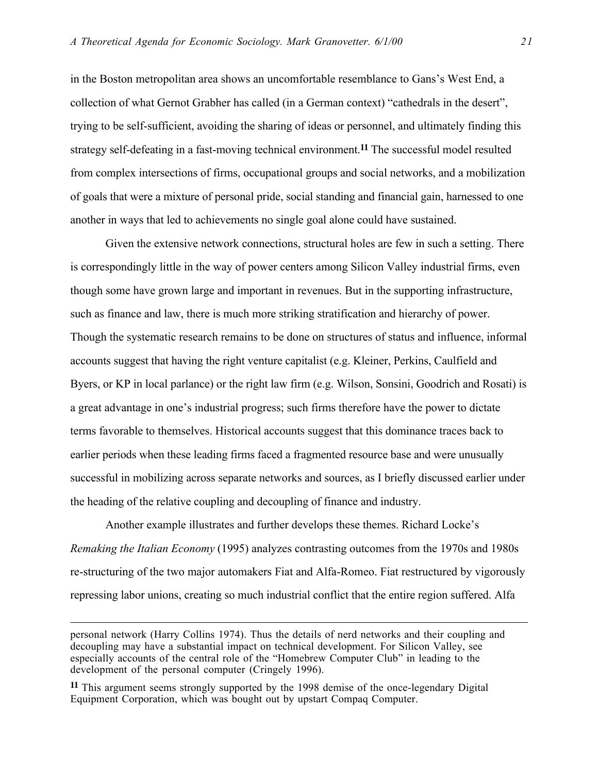in the Boston metropolitan area shows an uncomfortable resemblance to Gans's West End, a collection of what Gernot Grabher has called (in a German context) "cathedrals in the desert", trying to be self-sufficient, avoiding the sharing of ideas or personnel, and ultimately finding this strategy self-defeating in a fast-moving technical environment.**<sup>11</sup>** The successful model resulted from complex intersections of firms, occupational groups and social networks, and a mobilization of goals that were a mixture of personal pride, social standing and financial gain, harnessed to one another in ways that led to achievements no single goal alone could have sustained.

Given the extensive network connections, structural holes are few in such a setting. There is correspondingly little in the way of power centers among Silicon Valley industrial firms, even though some have grown large and important in revenues. But in the supporting infrastructure, such as finance and law, there is much more striking stratification and hierarchy of power. Though the systematic research remains to be done on structures of status and influence, informal accounts suggest that having the right venture capitalist (e.g. Kleiner, Perkins, Caulfield and Byers, or KP in local parlance) or the right law firm (e.g. Wilson, Sonsini, Goodrich and Rosati) is a great advantage in one's industrial progress; such firms therefore have the power to dictate terms favorable to themselves. Historical accounts suggest that this dominance traces back to earlier periods when these leading firms faced a fragmented resource base and were unusually successful in mobilizing across separate networks and sources, as I briefly discussed earlier under the heading of the relative coupling and decoupling of finance and industry.

Another example illustrates and further develops these themes. Richard Locke's *Remaking the Italian Economy* (1995) analyzes contrasting outcomes from the 1970s and 1980s re-structuring of the two major automakers Fiat and Alfa-Romeo. Fiat restructured by vigorously repressing labor unions, creating so much industrial conflict that the entire region suffered. Alfa

personal network (Harry Collins 1974). Thus the details of nerd networks and their coupling and decoupling may have a substantial impact on technical development. For Silicon Valley, see especially accounts of the central role of the "Homebrew Computer Club" in leading to the development of the personal computer (Cringely 1996).

**<sup>11</sup>** This argument seems strongly supported by the 1998 demise of the once-legendary Digital Equipment Corporation, which was bought out by upstart Compaq Computer.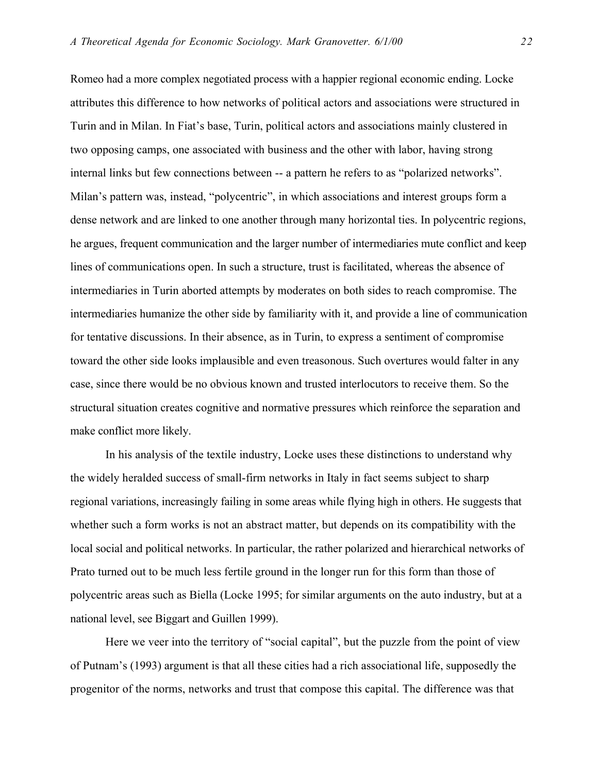Romeo had a more complex negotiated process with a happier regional economic ending. Locke attributes this difference to how networks of political actors and associations were structured in Turin and in Milan. In Fiat's base, Turin, political actors and associations mainly clustered in two opposing camps, one associated with business and the other with labor, having strong internal links but few connections between -- a pattern he refers to as "polarized networks". Milan's pattern was, instead, "polycentric", in which associations and interest groups form a dense network and are linked to one another through many horizontal ties. In polycentric regions, he argues, frequent communication and the larger number of intermediaries mute conflict and keep lines of communications open. In such a structure, trust is facilitated, whereas the absence of intermediaries in Turin aborted attempts by moderates on both sides to reach compromise. The intermediaries humanize the other side by familiarity with it, and provide a line of communication for tentative discussions. In their absence, as in Turin, to express a sentiment of compromise toward the other side looks implausible and even treasonous. Such overtures would falter in any case, since there would be no obvious known and trusted interlocutors to receive them. So the structural situation creates cognitive and normative pressures which reinforce the separation and make conflict more likely.

In his analysis of the textile industry, Locke uses these distinctions to understand why the widely heralded success of small-firm networks in Italy in fact seems subject to sharp regional variations, increasingly failing in some areas while flying high in others. He suggests that whether such a form works is not an abstract matter, but depends on its compatibility with the local social and political networks. In particular, the rather polarized and hierarchical networks of Prato turned out to be much less fertile ground in the longer run for this form than those of polycentric areas such as Biella (Locke 1995; for similar arguments on the auto industry, but at a national level, see Biggart and Guillen 1999).

Here we veer into the territory of "social capital", but the puzzle from the point of view of Putnam's (1993) argument is that all these cities had a rich associational life, supposedly the progenitor of the norms, networks and trust that compose this capital. The difference was that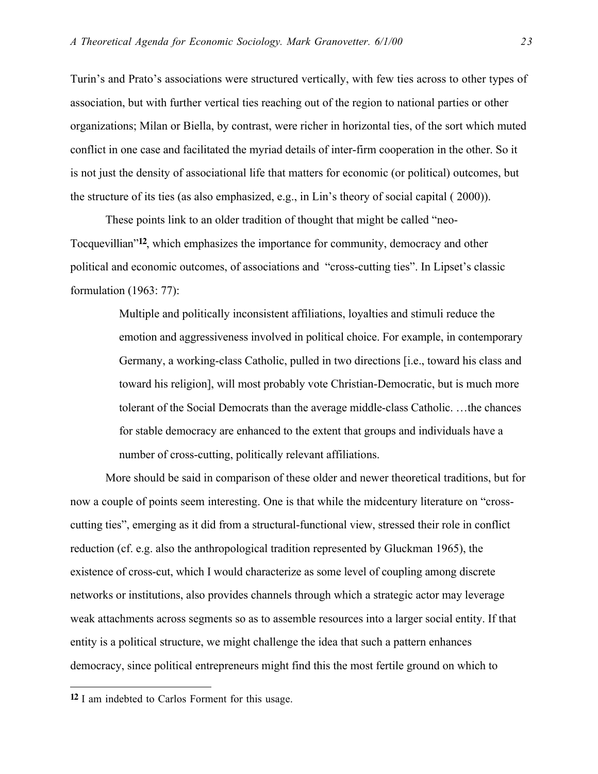Turin's and Prato's associations were structured vertically, with few ties across to other types of association, but with further vertical ties reaching out of the region to national parties or other organizations; Milan or Biella, by contrast, were richer in horizontal ties, of the sort which muted conflict in one case and facilitated the myriad details of inter-firm cooperation in the other. So it is not just the density of associational life that matters for economic (or political) outcomes, but the structure of its ties (as also emphasized, e.g., in Lin's theory of social capital ( 2000)).

These points link to an older tradition of thought that might be called "neo-Tocquevillian"**<sup>12</sup>**, which emphasizes the importance for community, democracy and other political and economic outcomes, of associations and "cross-cutting ties". In Lipset's classic formulation (1963: 77):

> Multiple and politically inconsistent affiliations, loyalties and stimuli reduce the emotion and aggressiveness involved in political choice. For example, in contemporary Germany, a working-class Catholic, pulled in two directions [i.e., toward his class and toward his religion], will most probably vote Christian-Democratic, but is much more tolerant of the Social Democrats than the average middle-class Catholic. …the chances for stable democracy are enhanced to the extent that groups and individuals have a number of cross-cutting, politically relevant affiliations.

More should be said in comparison of these older and newer theoretical traditions, but for now a couple of points seem interesting. One is that while the midcentury literature on "crosscutting ties", emerging as it did from a structural-functional view, stressed their role in conflict reduction (cf. e.g. also the anthropological tradition represented by Gluckman 1965), the existence of cross-cut, which I would characterize as some level of coupling among discrete networks or institutions, also provides channels through which a strategic actor may leverage weak attachments across segments so as to assemble resources into a larger social entity. If that entity is a political structure, we might challenge the idea that such a pattern enhances democracy, since political entrepreneurs might find this the most fertile ground on which to

**<sup>12</sup>** I am indebted to Carlos Forment for this usage.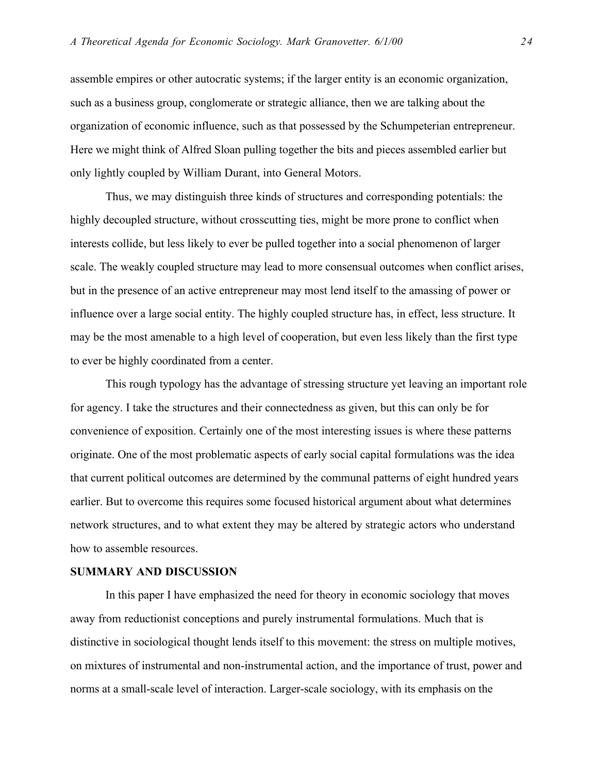assemble empires or other autocratic systems; if the larger entity is an economic organization, such as a business group, conglomerate or strategic alliance, then we are talking about the organization of economic influence, such as that possessed by the Schumpeterian entrepreneur. Here we might think of Alfred Sloan pulling together the bits and pieces assembled earlier but only lightly coupled by William Durant, into General Motors.

Thus, we may distinguish three kinds of structures and corresponding potentials: the highly decoupled structure, without crosscutting ties, might be more prone to conflict when interests collide, but less likely to ever be pulled together into a social phenomenon of larger scale. The weakly coupled structure may lead to more consensual outcomes when conflict arises, but in the presence of an active entrepreneur may most lend itself to the amassing of power or influence over a large social entity. The highly coupled structure has, in effect, less structure. It may be the most amenable to a high level of cooperation, but even less likely than the first type to ever be highly coordinated from a center.

This rough typology has the advantage of stressing structure yet leaving an important role for agency. I take the structures and their connectedness as given, but this can only be for convenience of exposition. Certainly one of the most interesting issues is where these patterns originate. One of the most problematic aspects of early social capital formulations was the idea that current political outcomes are determined by the communal patterns of eight hundred years earlier. But to overcome this requires some focused historical argument about what determines network structures, and to what extent they may be altered by strategic actors who understand how to assemble resources.

### **SUMMARY AND DISCUSSION**

In this paper I have emphasized the need for theory in economic sociology that moves away from reductionist conceptions and purely instrumental formulations. Much that is distinctive in sociological thought lends itself to this movement: the stress on multiple motives, on mixtures of instrumental and non-instrumental action, and the importance of trust, power and norms at a small-scale level of interaction. Larger-scale sociology, with its emphasis on the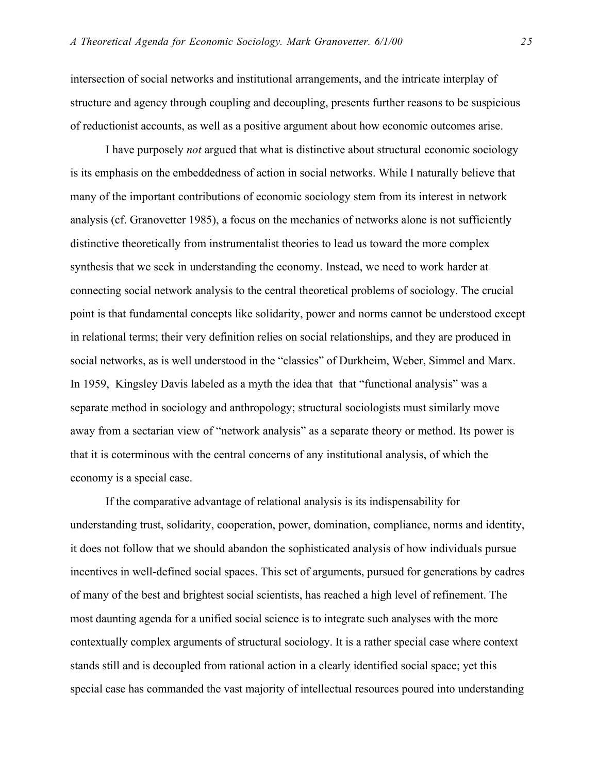intersection of social networks and institutional arrangements, and the intricate interplay of structure and agency through coupling and decoupling, presents further reasons to be suspicious of reductionist accounts, as well as a positive argument about how economic outcomes arise.

I have purposely *not* argued that what is distinctive about structural economic sociology is its emphasis on the embeddedness of action in social networks. While I naturally believe that many of the important contributions of economic sociology stem from its interest in network analysis (cf. Granovetter 1985), a focus on the mechanics of networks alone is not sufficiently distinctive theoretically from instrumentalist theories to lead us toward the more complex synthesis that we seek in understanding the economy. Instead, we need to work harder at connecting social network analysis to the central theoretical problems of sociology. The crucial point is that fundamental concepts like solidarity, power and norms cannot be understood except in relational terms; their very definition relies on social relationships, and they are produced in social networks, as is well understood in the "classics" of Durkheim, Weber, Simmel and Marx. In 1959, Kingsley Davis labeled as a myth the idea that that "functional analysis" was a separate method in sociology and anthropology; structural sociologists must similarly move away from a sectarian view of "network analysis" as a separate theory or method. Its power is that it is coterminous with the central concerns of any institutional analysis, of which the economy is a special case.

If the comparative advantage of relational analysis is its indispensability for understanding trust, solidarity, cooperation, power, domination, compliance, norms and identity, it does not follow that we should abandon the sophisticated analysis of how individuals pursue incentives in well-defined social spaces. This set of arguments, pursued for generations by cadres of many of the best and brightest social scientists, has reached a high level of refinement. The most daunting agenda for a unified social science is to integrate such analyses with the more contextually complex arguments of structural sociology. It is a rather special case where context stands still and is decoupled from rational action in a clearly identified social space; yet this special case has commanded the vast majority of intellectual resources poured into understanding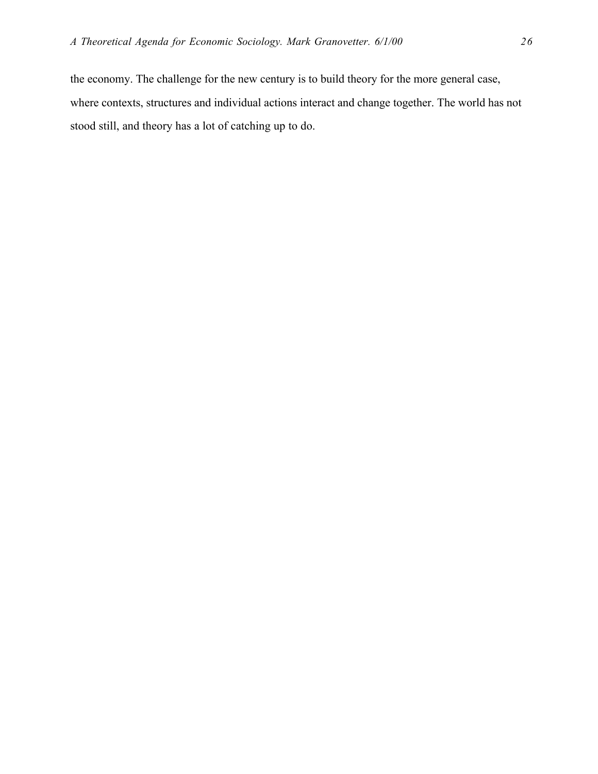the economy. The challenge for the new century is to build theory for the more general case, where contexts, structures and individual actions interact and change together. The world has not stood still, and theory has a lot of catching up to do.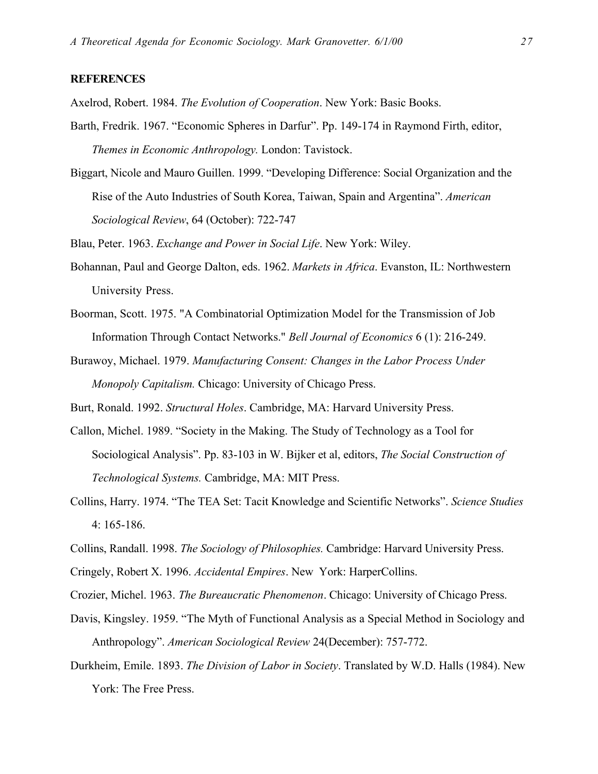#### **REFERENCES**

Axelrod, Robert. 1984. *The Evolution of Cooperation*. New York: Basic Books.

- Barth, Fredrik. 1967. "Economic Spheres in Darfur". Pp. 149-174 in Raymond Firth, editor, *Themes in Economic Anthropology.* London: Tavistock.
- Biggart, Nicole and Mauro Guillen. 1999. "Developing Difference: Social Organization and the Rise of the Auto Industries of South Korea, Taiwan, Spain and Argentina". *American Sociological Review*, 64 (October): 722-747

Blau, Peter. 1963. *Exchange and Power in Social Life*. New York: Wiley.

- Bohannan, Paul and George Dalton, eds. 1962. *Markets in Africa*. Evanston, IL: Northwestern University Press.
- Boorman, Scott. 1975. "A Combinatorial Optimization Model for the Transmission of Job Information Through Contact Networks." *Bell Journal of Economics* 6 (1): 216-249.
- Burawoy, Michael. 1979. *Manufacturing Consent: Changes in the Labor Process Under Monopoly Capitalism.* Chicago: University of Chicago Press.

Burt, Ronald. 1992. *Structural Holes*. Cambridge, MA: Harvard University Press.

- Callon, Michel. 1989. "Society in the Making. The Study of Technology as a Tool for Sociological Analysis". Pp. 83-103 in W. Bijker et al, editors, *The Social Construction of Technological Systems.* Cambridge, MA: MIT Press.
- Collins, Harry. 1974. "The TEA Set: Tacit Knowledge and Scientific Networks". *Science Studies* 4: 165-186.
- Collins, Randall. 1998. *The Sociology of Philosophies.* Cambridge: Harvard University Press.
- Cringely, Robert X. 1996. *Accidental Empires*. New York: HarperCollins.
- Crozier, Michel. 1963. *The Bureaucratic Phenomenon*. Chicago: University of Chicago Press.
- Davis, Kingsley. 1959. "The Myth of Functional Analysis as a Special Method in Sociology and Anthropology". *American Sociological Review* 24(December): 757-772.
- Durkheim, Emile. 1893. *The Division of Labor in Society*. Translated by W.D. Halls (1984). New York: The Free Press.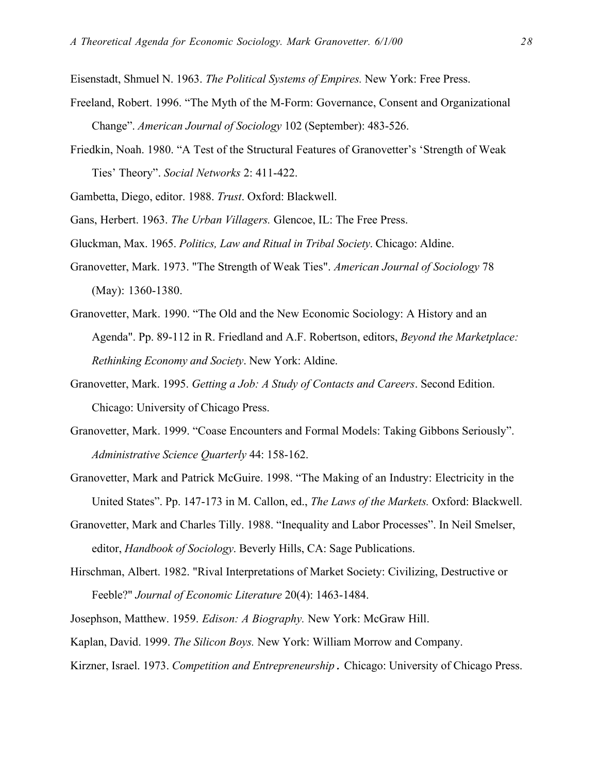Eisenstadt, Shmuel N. 1963. *The Political Systems of Empires.* New York: Free Press.

- Freeland, Robert. 1996. "The Myth of the M-Form: Governance, Consent and Organizational Change". *American Journal of Sociology* 102 (September): 483-526.
- Friedkin, Noah. 1980. "A Test of the Structural Features of Granovetter's 'Strength of Weak Ties' Theory". *Social Networks* 2: 411-422.
- Gambetta, Diego, editor. 1988. *Trust*. Oxford: Blackwell.
- Gans, Herbert. 1963. *The Urban Villagers.* Glencoe, IL: The Free Press.
- Gluckman, Max. 1965. *Politics, Law and Ritual in Tribal Society*. Chicago: Aldine.
- Granovetter, Mark. 1973. "The Strength of Weak Ties". *American Journal of Sociology* 78 (May): 1360-1380.
- Granovetter, Mark. 1990. "The Old and the New Economic Sociology: A History and an Agenda". Pp. 89-112 in R. Friedland and A.F. Robertson, editors, *Beyond the Marketplace: Rethinking Economy and Society*. New York: Aldine.
- Granovetter, Mark. 1995. *Getting a Job: A Study of Contacts and Careers*. Second Edition. Chicago: University of Chicago Press.
- Granovetter, Mark. 1999. "Coase Encounters and Formal Models: Taking Gibbons Seriously". *Administrative Science Quarterly* 44: 158-162.
- Granovetter, Mark and Patrick McGuire. 1998. "The Making of an Industry: Electricity in the United States". Pp. 147-173 in M. Callon, ed., *The Laws of the Markets.* Oxford: Blackwell.
- Granovetter, Mark and Charles Tilly. 1988. "Inequality and Labor Processes". In Neil Smelser, editor, *Handbook of Sociology*. Beverly Hills, CA: Sage Publications.
- Hirschman, Albert. 1982. "Rival Interpretations of Market Society: Civilizing, Destructive or Feeble?" *Journal of Economic Literature* 20(4): 1463-1484.
- Josephson, Matthew. 1959. *Edison: A Biography.* New York: McGraw Hill.
- Kaplan, David. 1999. *The Silicon Boys.* New York: William Morrow and Company.
- Kirzner, Israel. 1973. *Competition and Entrepreneurship.* Chicago: University of Chicago Press.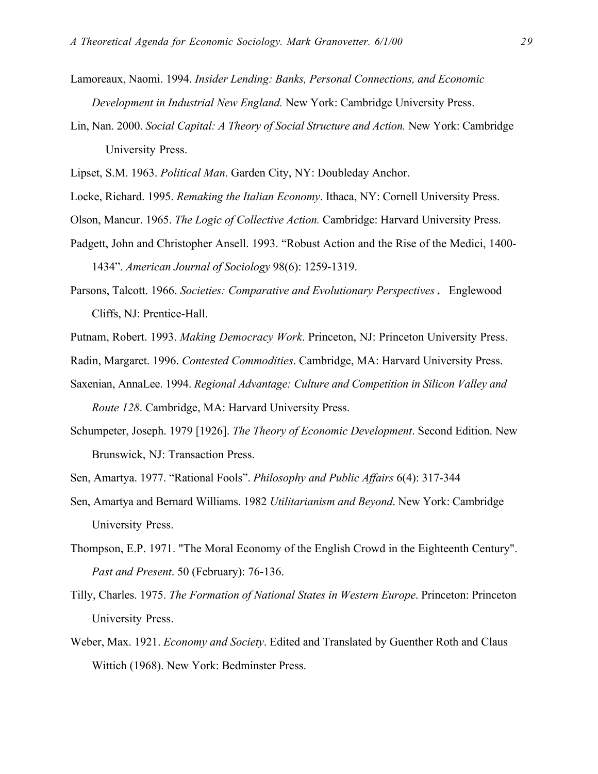- Lamoreaux, Naomi. 1994. *Insider Lending: Banks, Personal Connections, and Economic Development in Industrial New England.* New York: Cambridge University Press.
- Lin, Nan. 2000. *Social Capital: A Theory of Social Structure and Action.* New York: Cambridge University Press.

Lipset, S.M. 1963. *Political Man*. Garden City, NY: Doubleday Anchor.

Locke, Richard. 1995. *Remaking the Italian Economy*. Ithaca, NY: Cornell University Press.

- Olson, Mancur. 1965. *The Logic of Collective Action.* Cambridge: Harvard University Press.
- Padgett, John and Christopher Ansell. 1993. "Robust Action and the Rise of the Medici, 1400- 1434". *American Journal of Sociology* 98(6): 1259-1319.
- Parsons, Talcott. 1966. *Societies: Comparative and Evolutionary Perspectives.* Englewood Cliffs, NJ: Prentice-Hall.
- Putnam, Robert. 1993. *Making Democracy Work*. Princeton, NJ: Princeton University Press.
- Radin, Margaret. 1996. *Contested Commodities*. Cambridge, MA: Harvard University Press.
- Saxenian, AnnaLee. 1994. *Regional Advantage: Culture and Competition in Silicon Valley and Route 128*. Cambridge, MA: Harvard University Press.
- Schumpeter, Joseph. 1979 [1926]. *The Theory of Economic Development*. Second Edition. New Brunswick, NJ: Transaction Press.
- Sen, Amartya. 1977. "Rational Fools". *Philosophy and Public Affairs* 6(4): 317-344
- Sen, Amartya and Bernard Williams. 1982 *Utilitarianism and Beyond*. New York: Cambridge University Press.
- Thompson, E.P. 1971. "The Moral Economy of the English Crowd in the Eighteenth Century". *Past and Present*. 50 (February): 76-136.
- Tilly, Charles. 1975. *The Formation of National States in Western Europe*. Princeton: Princeton University Press.
- Weber, Max. 1921. *Economy and Society*. Edited and Translated by Guenther Roth and Claus Wittich (1968). New York: Bedminster Press.